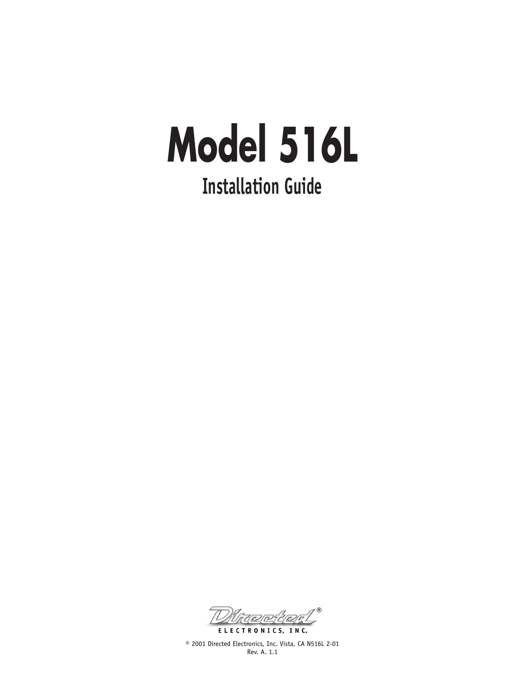## **Model 516L Installation Guide**

®ELECTRONICS, INC.

© 2001 Directed Electronics, Inc. Vista, CA N516L 2-01 Rev. A. 1.1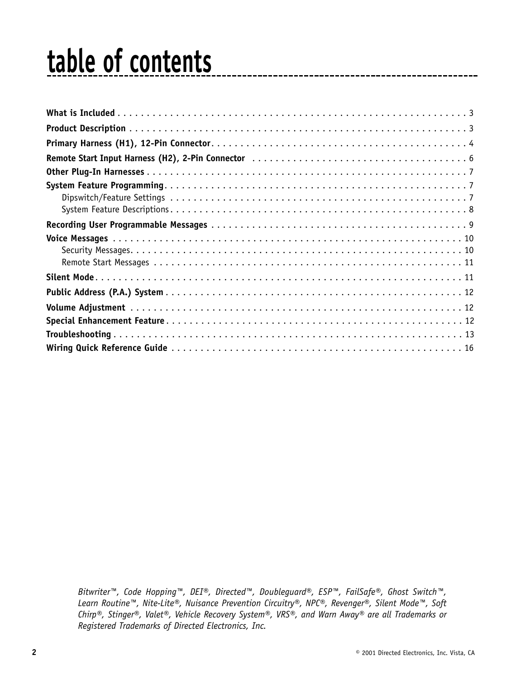### **table of contents**

*Bitwriter™, Code Hopping™, DEI®, Directed™, Doubleguard®, ESP™, FailSafe®, Ghost Switch™, Learn Routine™, Nite-Lite®, Nuisance Prevention Circuitry®, NPC®, Revenger®, Silent Mode™, Soft Chirp®, Stinger®, Valet®, Vehicle Recovery System®, VRS®, and Warn Away® are all Trademarks or Registered Trademarks of Directed Electronics, Inc.*

---------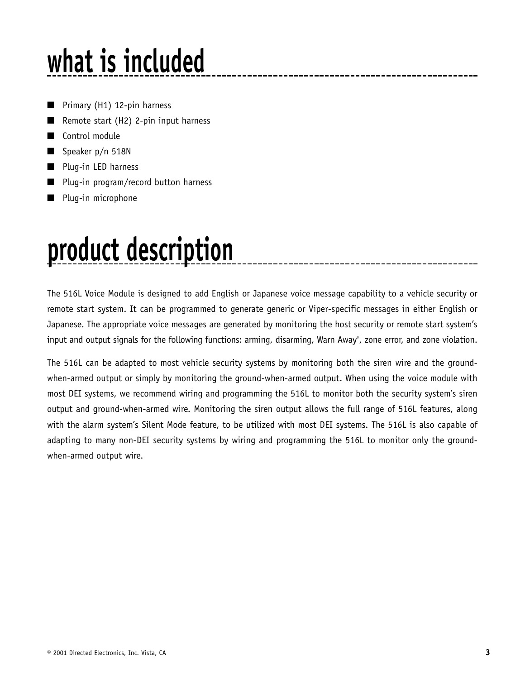## **what is included**

- Primary (H1) 12-pin harness
- Remote start  $(H2)$  2-pin input harness
- Control module
- Speaker p/n 518N
- Plug-in LED harness
- Plug-in program/record button harness
- Plug-in microphone

### **product description**

The 516L Voice Module is designed to add English or Japanese voice message capability to a vehicle security or remote start system. It can be programmed to generate generic or Viper-specific messages in either English or Japanese. The appropriate voice messages are generated by monitoring the host security or remote start system's input and output signals for the following functions: arming, disarming, Warn Away® , zone error, and zone violation.

The 516L can be adapted to most vehicle security systems by monitoring both the siren wire and the groundwhen-armed output or simply by monitoring the ground-when-armed output. When using the voice module with most DEI systems, we recommend wiring and programming the 516L to monitor both the security system's siren output and ground-when-armed wire. Monitoring the siren output allows the full range of 516L features, along with the alarm system's Silent Mode feature, to be utilized with most DEI systems. The 516L is also capable of adapting to many non-DEI security systems by wiring and programming the 516L to monitor only the groundwhen-armed output wire.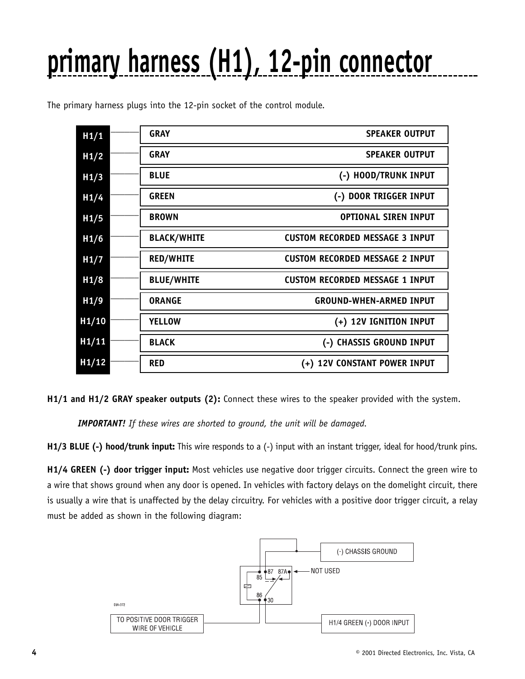# **primary harness (H1), 12-pin connector**

| H1/1  | <b>GRAY</b>        | <b>SPEAKER OUTPUT</b>                  |
|-------|--------------------|----------------------------------------|
| H1/2  | <b>GRAY</b>        | <b>SPEAKER OUTPUT</b>                  |
| H1/3  | <b>BLUE</b>        | (-) HOOD/TRUNK INPUT                   |
| H1/4  | <b>GREEN</b>       | (-) DOOR TRIGGER INPUT                 |
| H1/5  | <b>BROWN</b>       | <b>OPTIONAL SIREN INPUT</b>            |
| H1/6  | <b>BLACK/WHITE</b> | <b>CUSTOM RECORDED MESSAGE 3 INPUT</b> |
| H1/7  | <b>RED/WHITE</b>   | <b>CUSTOM RECORDED MESSAGE 2 INPUT</b> |
| H1/8  | <b>BLUE/WHITE</b>  | <b>CUSTOM RECORDED MESSAGE 1 INPUT</b> |
| H1/9  | <b>ORANGE</b>      | <b>GROUND-WHEN-ARMED INPUT</b>         |
| H1/10 | <b>YELLOW</b>      | (+) 12V IGNITION INPUT                 |
| H1/11 | <b>BLACK</b>       | (-) CHASSIS GROUND INPUT               |
| H1/12 | <b>RED</b>         | (+) 12V CONSTANT POWER INPUT           |

The primary harness plugs into the 12-pin socket of the control module.

**H1/1 and H1/2 GRAY speaker outputs (2):** Connect these wires to the speaker provided with the system.

*IMPORTANT! If these wires are shorted to ground, the unit will be damaged.*

**H1/3 BLUE (-) hood/trunk input:** This wire responds to a (-) input with an instant trigger, ideal for hood/trunk pins.

**H1/4 GREEN (-) door trigger input:** Most vehicles use negative door trigger circuits. Connect the green wire to a wire that shows ground when any door is opened. In vehicles with factory delays on the domelight circuit, there is usually a wire that is unaffected by the delay circuitry. For vehicles with a positive door trigger circuit, a relay must be added as shown in the following diagram:

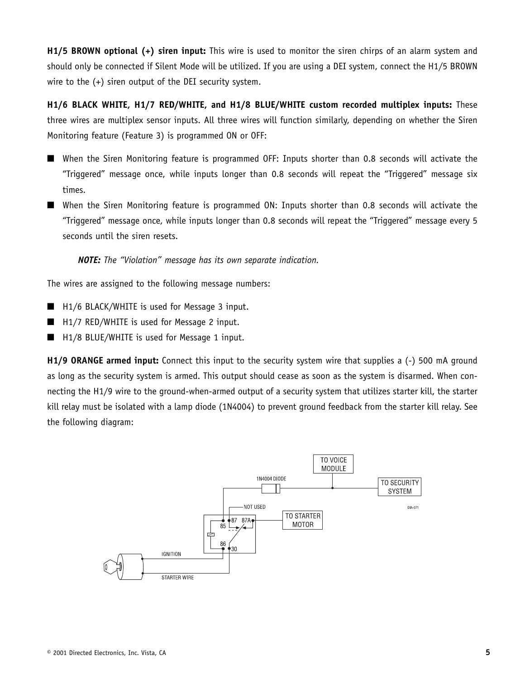**H1/5 BROWN optional (+) siren input:** This wire is used to monitor the siren chirps of an alarm system and should only be connected if Silent Mode will be utilized. If you are using a DEI system, connect the H1/5 BROWN wire to the (+) siren output of the DEI security system.

**H1/6 BLACK WHITE, H1/7 RED/WHITE, and H1/8 BLUE/WHITE custom recorded multiplex inputs:** These three wires are multiplex sensor inputs. All three wires will function similarly, depending on whether the Siren Monitoring feature (Feature 3) is programmed ON or OFF:

- When the Siren Monitoring feature is programmed OFF: Inputs shorter than 0.8 seconds will activate the "Triggered" message once, while inputs longer than 0.8 seconds will repeat the "Triggered" message six times.
- When the Siren Monitoring feature is programmed ON: Inputs shorter than 0.8 seconds will activate the "Triggered" message once, while inputs longer than 0.8 seconds will repeat the "Triggered" message every 5 seconds until the siren resets.

*NOTE: The "Violation" message has its own separate indication.*

The wires are assigned to the following message numbers:

- H1/6 BLACK/WHITE is used for Message 3 input.
- H1/7 RED/WHITE is used for Message 2 input.
- H1/8 BLUE/WHITE is used for Message 1 input.

**H1/9 ORANGE armed input:** Connect this input to the security system wire that supplies a (-) 500 mA ground as long as the security system is armed. This output should cease as soon as the system is disarmed. When connecting the H1/9 wire to the ground-when-armed output of a security system that utilizes starter kill, the starter kill relay must be isolated with a lamp diode (1N4004) to prevent ground feedback from the starter kill relay. See the following diagram:

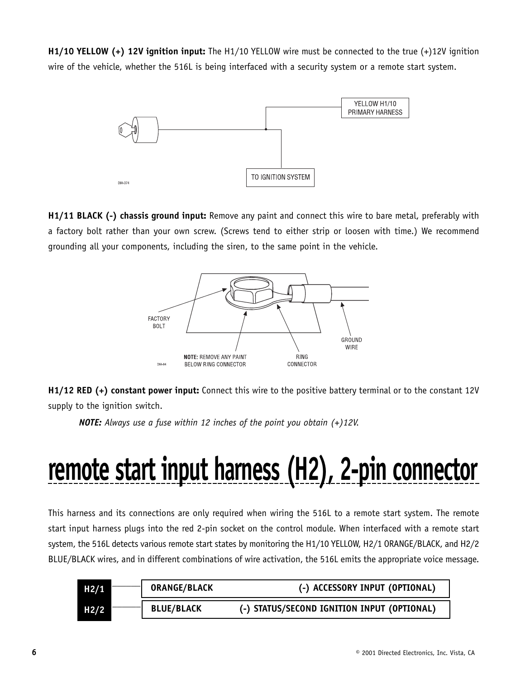**H1/10 YELLOW (+) 12V ignition input:** The H1/10 YELLOW wire must be connected to the true (+)12V ignition wire of the vehicle, whether the 516L is being interfaced with a security system or a remote start system.



**H1/11 BLACK (-) chassis ground input:** Remove any paint and connect this wire to bare metal, preferably with a factory bolt rather than your own screw. (Screws tend to either strip or loosen with time.) We recommend grounding all your components, including the siren, to the same point in the vehicle.



**H1/12 RED (+) constant power input:** Connect this wire to the positive battery terminal or to the constant 12V supply to the ignition switch.

*NOTE: Always use a fuse within 12 inches of the point you obtain (+)12V.* 

### **remote start input harness (H2), 2-pin connector**

This harness and its connections are only required when wiring the 516L to a remote start system. The remote start input harness plugs into the red 2-pin socket on the control module. When interfaced with a remote start system, the 516L detects various remote start states by monitoring the H1/10 YELLOW, H2/1 ORANGE/BLACK, and H2/2 BLUE/BLACK wires, and in different combinations of wire activation, the 516L emits the appropriate voice message.

| H2/1 | <b>ORANGE/BLACK</b> | (-) ACCESSORY INPUT (OPTIONAL)              |
|------|---------------------|---------------------------------------------|
| H2/2 | <b>BLUE/BLACK</b>   | (-) STATUS/SECOND IGNITION INPUT (OPTIONAL) |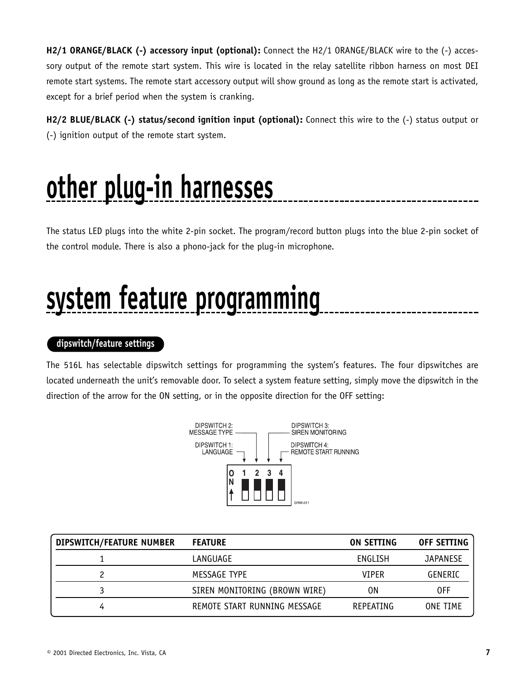**H2/1 ORANGE/BLACK (-) accessory input (optional):** Connect the H2/1 ORANGE/BLACK wire to the (-) accessory output of the remote start system. This wire is located in the relay satellite ribbon harness on most DEI remote start systems. The remote start accessory output will show ground as long as the remote start is activated, except for a brief period when the system is cranking.

**H2/2 BLUE/BLACK (-) status/second ignition input (optional):** Connect this wire to the (-) status output or (-) ignition output of the remote start system.

### **other plug-in harnesses**

The status LED plugs into the white 2-pin socket. The program/record button plugs into the blue 2-pin socket of the control module. There is also a phono-jack for the plug-in microphone.

### **system feature programming**

#### **dipswitch/feature settings**

The 516L has selectable dipswitch settings for programming the system's features. The four dipswitches are located underneath the unit's removable door. To select a system feature setting, simply move the dipswitch in the direction of the arrow for the ON setting, or in the opposite direction for the OFF setting:



| DIPSWITCH/FEATURE NUMBER | <b>FEATURE</b>                | ON SETTING   | OFF SETTING     |
|--------------------------|-------------------------------|--------------|-----------------|
|                          | LANGUAGE                      | ENGLISH      | <b>JAPANESE</b> |
|                          | MESSAGE TYPE                  | <b>VTPER</b> | GENERIC         |
|                          | SIREN MONITORING (BROWN WIRE) | 0Ν           | 0FF             |
| 4                        | REMOTE START RUNNING MESSAGE  | REPEATING    | <b>ONE TIME</b> |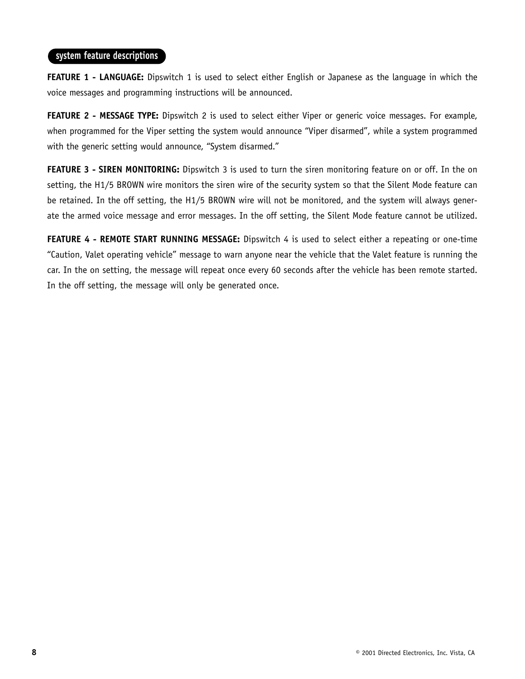#### **system feature descriptions**

**FEATURE 1 - LANGUAGE:** Dipswitch 1 is used to select either English or Japanese as the language in which the voice messages and programming instructions will be announced.

**FEATURE 2 - MESSAGE TYPE:** Dipswitch 2 is used to select either Viper or generic voice messages. For example, when programmed for the Viper setting the system would announce "Viper disarmed", while a system programmed with the generic setting would announce, "System disarmed."

**FEATURE 3 - SIREN MONITORING:** Dipswitch 3 is used to turn the siren monitoring feature on or off. In the on setting, the H1/5 BROWN wire monitors the siren wire of the security system so that the Silent Mode feature can be retained. In the off setting, the H1/5 BROWN wire will not be monitored, and the system will always generate the armed voice message and error messages. In the off setting, the Silent Mode feature cannot be utilized.

**FEATURE 4 - REMOTE START RUNNING MESSAGE:** Dipswitch 4 is used to select either a repeating or one-time "Caution, Valet operating vehicle" message to warn anyone near the vehicle that the Valet feature is running the car. In the on setting, the message will repeat once every 60 seconds after the vehicle has been remote started. In the off setting, the message will only be generated once.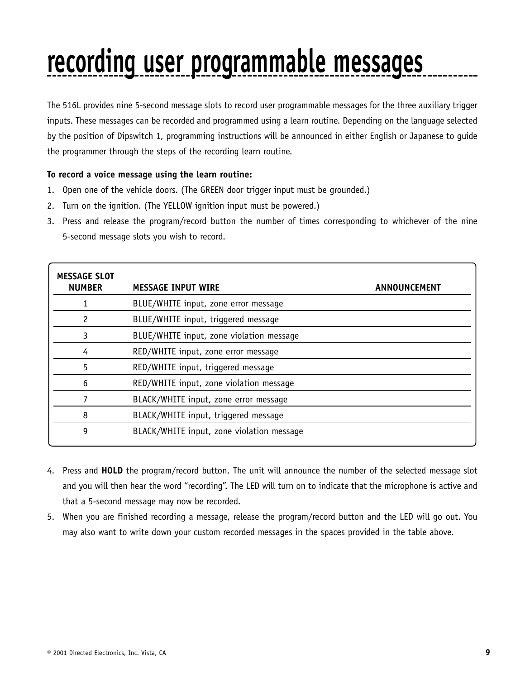## **recording user programmable messages**

The 516L provides nine 5-second message slots to record user programmable messages for the three auxiliary trigger inputs. These messages can be recorded and programmed using a learn routine. Depending on the language selected by the position of Dipswitch 1, programming instructions will be announced in either English or Japanese to guide the programmer through the steps of the recording learn routine.

#### **To record a voice message using the learn routine:**

- 1. Open one of the vehicle doors. (The GREEN door trigger input must be grounded.)
- 2. Turn on the ignition. (The YELLOW ignition input must be powered.)
- 3. Press and release the program/record button the number of times corresponding to whichever of the nine 5-second message slots you wish to record.

| <b>MESSAGE SLOT</b><br><b>NUMBER</b> | <b>MESSAGE INPUT WIRE</b>                 | ANNOUNCEMENT |
|--------------------------------------|-------------------------------------------|--------------|
|                                      | BLUE/WHITE input, zone error message      |              |
| 2                                    | BLUE/WHITE input, triggered message       |              |
| 3                                    | BLUE/WHITE input, zone violation message  |              |
| 4                                    | RED/WHITE input, zone error message       |              |
| 5                                    | RED/WHITE input, triggered message        |              |
| 6                                    | RED/WHITE input, zone violation message   |              |
|                                      | BLACK/WHITE input, zone error message     |              |
| 8                                    | BLACK/WHITE input, triggered message      |              |
| 9                                    | BLACK/WHITE input, zone violation message |              |
|                                      |                                           |              |

- 4. Press and **HOLD** the program/record button. The unit will announce the number of the selected message slot and you will then hear the word "recording". The LED will turn on to indicate that the microphone is active and that a 5-second message may now be recorded.
- 5. When you are finished recording a message, release the program/record button and the LED will go out. You may also want to write down your custom recorded messages in the spaces provided in the table above.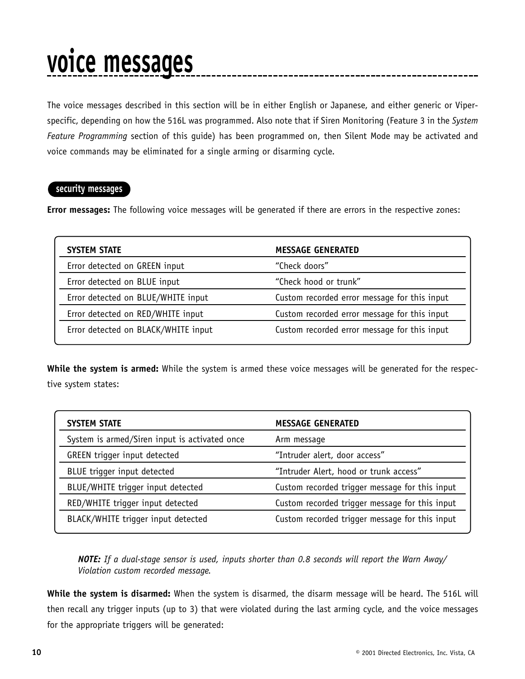### **voice messages**

The voice messages described in this section will be in either English or Japanese, and either generic or Viperspecific, depending on how the 516L was programmed. Also note that if Siren Monitoring (Feature 3 in the *System Feature Programming* section of this guide) has been programmed on, then Silent Mode may be activated and voice commands may be eliminated for a single arming or disarming cycle.

#### **security messages**

**Error messages:** The following voice messages will be generated if there are errors in the respective zones:

| <b>SYSTEM STATE</b>                 | <b>MESSAGE GENERATED</b>                     |
|-------------------------------------|----------------------------------------------|
| Error detected on GREEN input       | "Check doors"                                |
| Error detected on BLUE input        | "Check hood or trunk"                        |
| Error detected on BLUE/WHITE input  | Custom recorded error message for this input |
| Error detected on RED/WHITE input   | Custom recorded error message for this input |
| Error detected on BLACK/WHITE input | Custom recorded error message for this input |

**While the system is armed:** While the system is armed these voice messages will be generated for the respective system states:

| <b>SYSTEM STATE</b>                           | <b>MESSAGE GENERATED</b>                       |
|-----------------------------------------------|------------------------------------------------|
| System is armed/Siren input is activated once | Arm message                                    |
| <b>GREEN</b> trigger input detected           | "Intruder alert, door access"                  |
| BLUE trigger input detected                   | "Intruder Alert, hood or trunk access"         |
| BLUE/WHITE trigger input detected             | Custom recorded trigger message for this input |
| RED/WHITE trigger input detected              | Custom recorded trigger message for this input |
| BLACK/WHITE trigger input detected            | Custom recorded trigger message for this input |

*NOTE: If a dual-stage sensor is used, inputs shorter than 0.8 seconds will report the Warn Away/ Violation custom recorded message.*

**While the system is disarmed:** When the system is disarmed, the disarm message will be heard. The 516L will then recall any trigger inputs (up to 3) that were violated during the last arming cycle, and the voice messages for the appropriate triggers will be generated: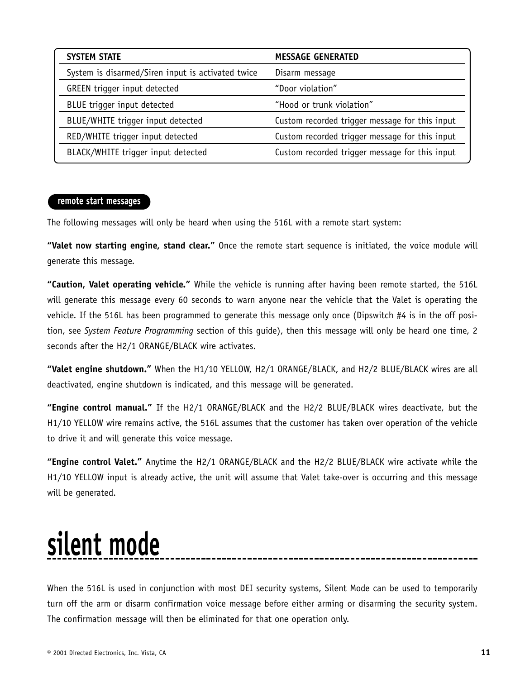| <b>SYSTEM STATE</b>                               | <b>MESSAGE GENERATED</b>                       |
|---------------------------------------------------|------------------------------------------------|
| System is disarmed/Siren input is activated twice | Disarm message                                 |
| GREEN trigger input detected                      | "Door violation"                               |
| BLUE trigger input detected                       | "Hood or trunk violation"                      |
| BLUE/WHITE trigger input detected                 | Custom recorded trigger message for this input |
| RED/WHITE trigger input detected                  | Custom recorded trigger message for this input |
| BLACK/WHITE trigger input detected                | Custom recorded trigger message for this input |

#### **remote start messages**

The following messages will only be heard when using the 516L with a remote start system:

**"Valet now starting engine, stand clear."** Once the remote start sequence is initiated, the voice module will generate this message.

**"Caution, Valet operating vehicle."** While the vehicle is running after having been remote started, the 516L will generate this message every 60 seconds to warn anyone near the vehicle that the Valet is operating the vehicle. If the 516L has been programmed to generate this message only once (Dipswitch #4 is in the off position, see *System Feature Programming* section of this guide), then this message will only be heard one time, 2 seconds after the H2/1 ORANGE/BLACK wire activates.

**"Valet engine shutdown."** When the H1/10 YELLOW, H2/1 ORANGE/BLACK, and H2/2 BLUE/BLACK wires are all deactivated, engine shutdown is indicated, and this message will be generated.

**"Engine control manual."** If the H2/1 ORANGE/BLACK and the H2/2 BLUE/BLACK wires deactivate, but the H1/10 YELLOW wire remains active, the 516L assumes that the customer has taken over operation of the vehicle to drive it and will generate this voice message.

**"Engine control Valet."** Anytime the H2/1 ORANGE/BLACK and the H2/2 BLUE/BLACK wire activate while the H1/10 YELLOW input is already active, the unit will assume that Valet take-over is occurring and this message will be generated.

### **silent mode**

When the 516L is used in conjunction with most DEI security systems, Silent Mode can be used to temporarily turn off the arm or disarm confirmation voice message before either arming or disarming the security system. The confirmation message will then be eliminated for that one operation only.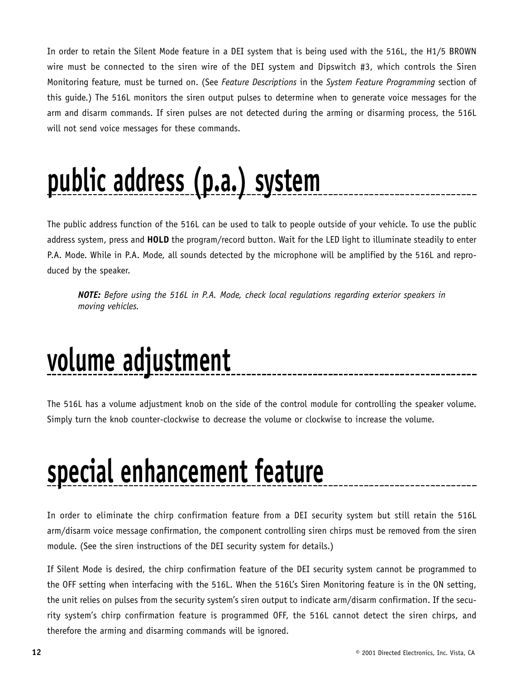In order to retain the Silent Mode feature in a DEI system that is being used with the 516L, the H1/5 BROWN wire must be connected to the siren wire of the DEI system and Dipswitch #3, which controls the Siren Monitoring feature, must be turned on. (See *Feature Descriptions* in the *System Feature Programming* section of this guide.) The 516L monitors the siren output pulses to determine when to generate voice messages for the arm and disarm commands. If siren pulses are not detected during the arming or disarming process, the 516L will not send voice messages for these commands.

# **public address (p.a.) system**

The public address function of the 516L can be used to talk to people outside of your vehicle. To use the public address system, press and **HOLD** the program/record button. Wait for the LED light to illuminate steadily to enter P.A. Mode. While in P.A. Mode, all sounds detected by the microphone will be amplified by the 516L and reproduced by the speaker.

*NOTE: Before using the 516L in P.A. Mode, check local regulations regarding exterior speakers in moving vehicles.*

### **volume adjustment**

The 516L has a volume adjustment knob on the side of the control module for controlling the speaker volume. Simply turn the knob counter-clockwise to decrease the volume or clockwise to increase the volume.

### **special enhancement feature**

In order to eliminate the chirp confirmation feature from a DEI security system but still retain the 516L arm/disarm voice message confirmation, the component controlling siren chirps must be removed from the siren module. (See the siren instructions of the DEI security system for details.)

If Silent Mode is desired, the chirp confirmation feature of the DEI security system cannot be programmed to the OFF setting when interfacing with the 516L. When the 516L's Siren Monitoring feature is in the ON setting, the unit relies on pulses from the security system's siren output to indicate arm/disarm confirmation. If the security system's chirp confirmation feature is programmed OFF, the 516L cannot detect the siren chirps, and therefore the arming and disarming commands will be ignored.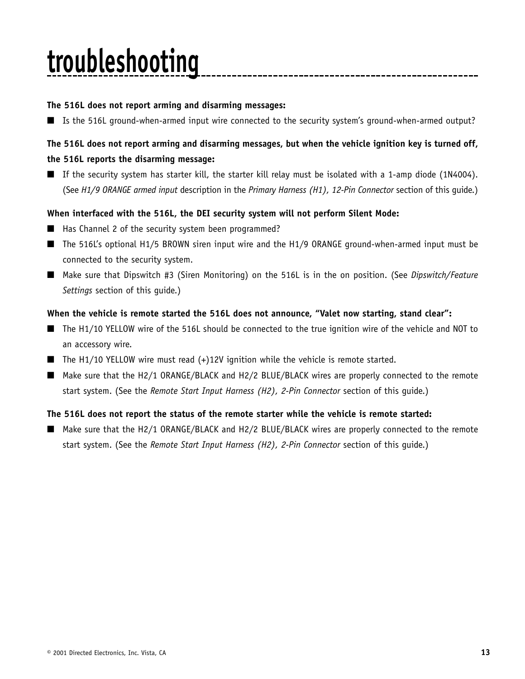## **troubleshooting**

#### **The 516L does not report arming and disarming messages:**

■ Is the 516L ground-when-armed input wire connected to the security system's ground-when-armed output?

#### **The 516L does not report arming and disarming messages, but when the vehicle ignition key is turned off, the 516L reports the disarming message:**

■ If the security system has starter kill, the starter kill relay must be isolated with a 1-amp diode (1N4004). (See *H1/9 ORANGE armed input* description in the *Primary Harness (H1), 12-Pin Connector* section of this guide.)

#### **When interfaced with the 516L, the DEI security system will not perform Silent Mode:**

- Has Channel 2 of the security system been programmed?
- The 516L's optional H1/5 BROWN siren input wire and the H1/9 ORANGE ground-when-armed input must be connected to the security system.
- Make sure that Dipswitch #3 (Siren Monitoring) on the 516L is in the on position. (See *Dipswitch/Feature Settings* section of this guide.)

#### **When the vehicle is remote started the 516L does not announce, "Valet now starting, stand clear":**

- The H1/10 YELLOW wire of the 516L should be connected to the true ignition wire of the vehicle and NOT to an accessory wire.
- $\blacksquare$  The H1/10 YELLOW wire must read  $(+)$ 12V ignition while the vehicle is remote started.
- Make sure that the H2/1 ORANGE/BLACK and H2/2 BLUE/BLACK wires are properly connected to the remote start system. (See the *Remote Start Input Harness (H2), 2-Pin Connector* section of this guide.)

#### **The 516L does not report the status of the remote starter while the vehicle is remote started:**

■ Make sure that the H2/1 ORANGE/BLACK and H2/2 BLUE/BLACK wires are properly connected to the remote start system. (See the *Remote Start Input Harness (H2), 2-Pin Connector* section of this guide.)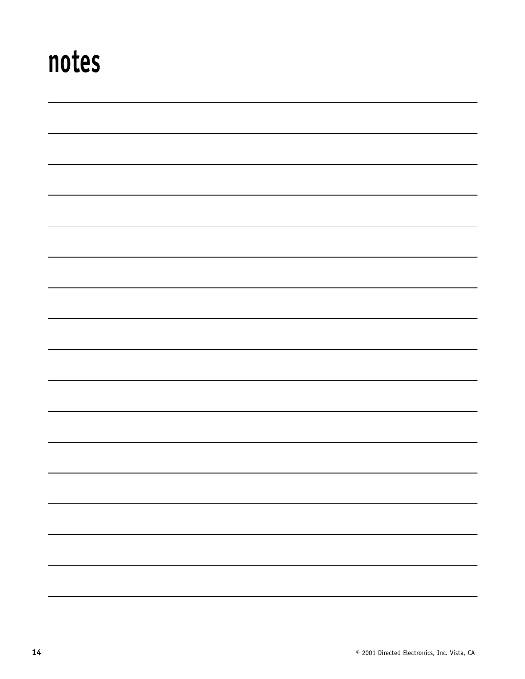### **notes**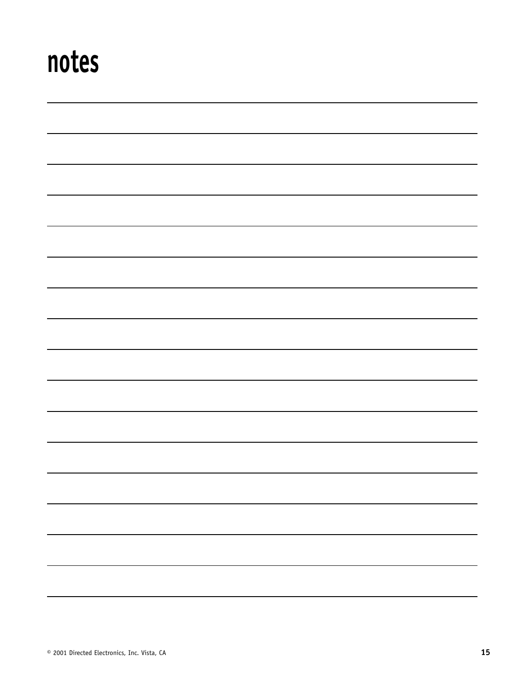### **notes**